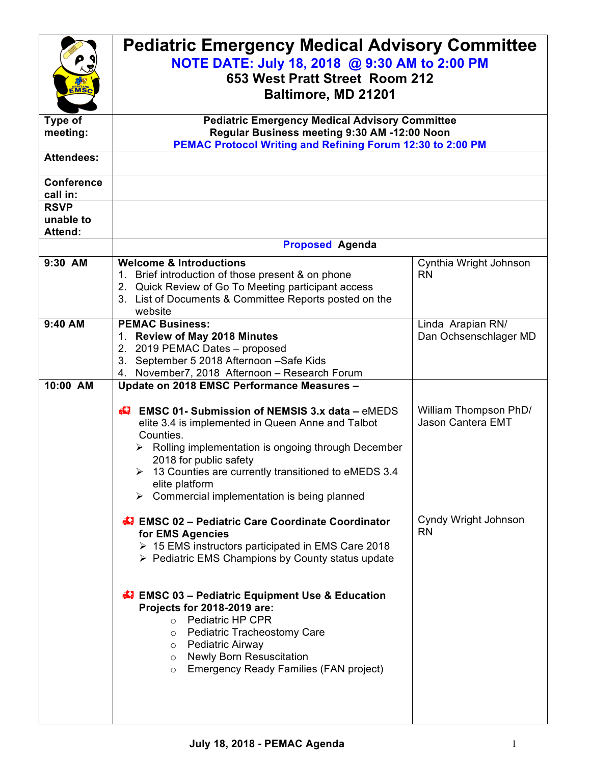| EMSC<br><b>Type of</b><br>meeting:           | <b>Pediatric Emergency Medical Advisory Committee</b><br>NOTE DATE: July 18, 2018 @ 9:30 AM to 2:00 PM<br>653 West Pratt Street Room 212<br>Baltimore, MD 21201<br><b>Pediatric Emergency Medical Advisory Committee</b><br>Regular Business meeting 9:30 AM -12:00 Noon<br>PEMAC Protocol Writing and Refining Forum 12:30 to 2:00 PM                                                                                                                                                                                                                                                                                                                                                                                                                                                                                                                  |                                                                                 |
|----------------------------------------------|---------------------------------------------------------------------------------------------------------------------------------------------------------------------------------------------------------------------------------------------------------------------------------------------------------------------------------------------------------------------------------------------------------------------------------------------------------------------------------------------------------------------------------------------------------------------------------------------------------------------------------------------------------------------------------------------------------------------------------------------------------------------------------------------------------------------------------------------------------|---------------------------------------------------------------------------------|
| <b>Attendees:</b>                            |                                                                                                                                                                                                                                                                                                                                                                                                                                                                                                                                                                                                                                                                                                                                                                                                                                                         |                                                                                 |
| <b>Conference</b><br>call in:<br><b>RSVP</b> |                                                                                                                                                                                                                                                                                                                                                                                                                                                                                                                                                                                                                                                                                                                                                                                                                                                         |                                                                                 |
| unable to<br><b>Attend:</b>                  |                                                                                                                                                                                                                                                                                                                                                                                                                                                                                                                                                                                                                                                                                                                                                                                                                                                         |                                                                                 |
|                                              | <b>Proposed Agenda</b>                                                                                                                                                                                                                                                                                                                                                                                                                                                                                                                                                                                                                                                                                                                                                                                                                                  |                                                                                 |
| 9:30 AM                                      | <b>Welcome &amp; Introductions</b><br>1. Brief introduction of those present & on phone<br>2. Quick Review of Go To Meeting participant access<br>3. List of Documents & Committee Reports posted on the<br>website                                                                                                                                                                                                                                                                                                                                                                                                                                                                                                                                                                                                                                     | Cynthia Wright Johnson<br><b>RN</b>                                             |
| 9:40 AM<br>10:00 AM                          | <b>PEMAC Business:</b><br>1. Review of May 2018 Minutes<br>2. 2019 PEMAC Dates - proposed<br>3. September 5 2018 Afternoon - Safe Kids<br>November7, 2018 Afternoon - Research Forum<br>4.<br>Update on 2018 EMSC Performance Measures -                                                                                                                                                                                                                                                                                                                                                                                                                                                                                                                                                                                                                | Linda Arapian RN/<br>Dan Ochsenschlager MD                                      |
|                                              | $\bigoplus$ EMSC 01-Submission of NEMSIS 3.x data – eMEDS<br>elite 3.4 is implemented in Queen Anne and Talbot<br>Counties.<br>Rolling implementation is ongoing through December<br>2018 for public safety<br>13 Counties are currently transitioned to eMEDS 3.4<br>elite platform<br>$\triangleright$ Commercial implementation is being planned<br>EMSC 02 - Pediatric Care Coordinate Coordinator<br>for EMS Agencies<br>$\triangleright$ 15 EMS instructors participated in EMS Care 2018<br>$\triangleright$ Pediatric EMS Champions by County status update<br><b>EMSC 03 - Pediatric Equipment Use &amp; Education</b><br>Projects for 2018-2019 are:<br>o Pediatric HP CPR<br>o Pediatric Tracheostomy Care<br>Pediatric Airway<br>$\circ$<br><b>Newly Born Resuscitation</b><br>$\circ$<br>Emergency Ready Families (FAN project)<br>$\circ$ | William Thompson PhD/<br>Jason Cantera EMT<br>Cyndy Wright Johnson<br><b>RN</b> |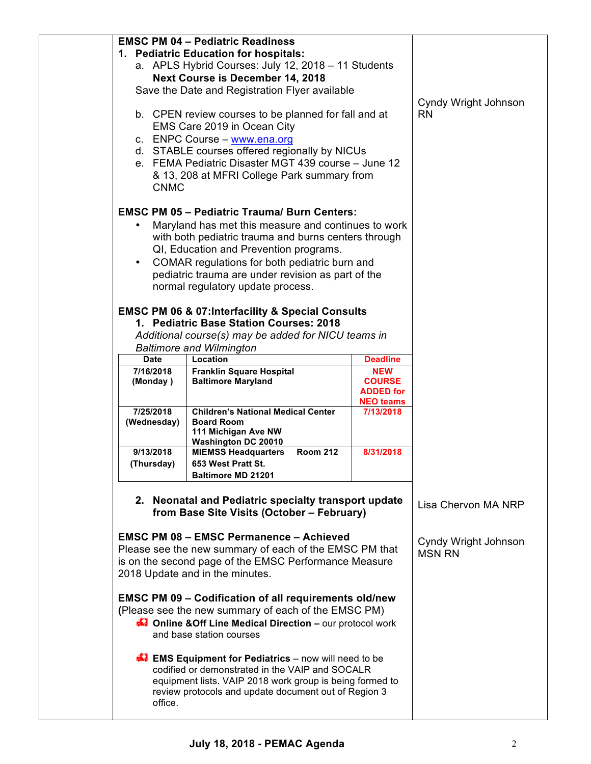|                                                     | <b>EMSC PM 04 - Pediatric Readiness</b>                                     |                  |                      |
|-----------------------------------------------------|-----------------------------------------------------------------------------|------------------|----------------------|
| 1. Pediatric Education for hospitals:               |                                                                             |                  |                      |
| a. APLS Hybrid Courses: July 12, 2018 - 11 Students |                                                                             |                  |                      |
| <b>Next Course is December 14, 2018</b>             |                                                                             |                  |                      |
|                                                     |                                                                             |                  |                      |
|                                                     | Save the Date and Registration Flyer available                              |                  |                      |
|                                                     |                                                                             |                  | Cyndy Wright Johnson |
|                                                     | b. CPEN review courses to be planned for fall and at                        |                  | <b>RN</b>            |
|                                                     | EMS Care 2019 in Ocean City                                                 |                  |                      |
|                                                     | c. ENPC Course - www.ena.org                                                |                  |                      |
|                                                     | d. STABLE courses offered regionally by NICUs                               |                  |                      |
|                                                     | e. FEMA Pediatric Disaster MGT 439 course - June 12                         |                  |                      |
|                                                     | & 13, 208 at MFRI College Park summary from                                 |                  |                      |
| <b>CNMC</b>                                         |                                                                             |                  |                      |
|                                                     |                                                                             |                  |                      |
|                                                     | <b>EMSC PM 05 - Pediatric Trauma/ Burn Centers:</b>                         |                  |                      |
|                                                     | Maryland has met this measure and continues to work                         |                  |                      |
|                                                     |                                                                             |                  |                      |
|                                                     | with both pediatric trauma and burns centers through                        |                  |                      |
|                                                     | QI, Education and Prevention programs.                                      |                  |                      |
| $\bullet$                                           | COMAR regulations for both pediatric burn and                               |                  |                      |
|                                                     | pediatric trauma are under revision as part of the                          |                  |                      |
|                                                     | normal regulatory update process.                                           |                  |                      |
|                                                     |                                                                             |                  |                      |
|                                                     | <b>EMSC PM 06 &amp; 07:Interfacility &amp; Special Consults</b>             |                  |                      |
|                                                     | 1. Pediatric Base Station Courses: 2018                                     |                  |                      |
|                                                     | Additional course(s) may be added for NICU teams in                         |                  |                      |
|                                                     | <b>Baltimore and Wilmington</b>                                             |                  |                      |
| <b>Date</b>                                         | Location                                                                    | <b>Deadline</b>  |                      |
| 7/16/2018                                           | <b>Franklin Square Hospital</b>                                             | <b>NEW</b>       |                      |
| (Monday)                                            | <b>Baltimore Maryland</b>                                                   | <b>COURSE</b>    |                      |
|                                                     |                                                                             | <b>ADDED</b> for |                      |
|                                                     |                                                                             | <b>NEO teams</b> |                      |
| 7/25/2018                                           | <b>Children's National Medical Center</b>                                   | 7/13/2018        |                      |
| (Wednesday)                                         | <b>Board Room</b><br>111 Michigan Ave NW                                    |                  |                      |
|                                                     |                                                                             |                  |                      |
|                                                     |                                                                             |                  |                      |
| 9/13/2018                                           | <b>Washington DC 20010</b><br><b>Room 212</b><br><b>MIEMSS Headquarters</b> | 8/31/2018        |                      |
| (Thursday)                                          | 653 West Pratt St.                                                          |                  |                      |
|                                                     | <b>Baltimore MD 21201</b>                                                   |                  |                      |
|                                                     |                                                                             |                  |                      |
|                                                     |                                                                             |                  |                      |
|                                                     | 2. Neonatal and Pediatric specialty transport update                        |                  | Lisa Chervon MA NRP  |
|                                                     | from Base Site Visits (October - February)                                  |                  |                      |
|                                                     |                                                                             |                  |                      |
|                                                     | <b>EMSC PM 08 - EMSC Permanence - Achieved</b>                              |                  | Cyndy Wright Johnson |
|                                                     | Please see the new summary of each of the EMSC PM that                      |                  | <b>MSN RN</b>        |
|                                                     | is on the second page of the EMSC Performance Measure                       |                  |                      |
|                                                     | 2018 Update and in the minutes.                                             |                  |                      |
|                                                     |                                                                             |                  |                      |
|                                                     | <b>EMSC PM 09 - Codification of all requirements old/new</b>                |                  |                      |
|                                                     | (Please see the new summary of each of the EMSC PM)                         |                  |                      |
|                                                     | <b>Confine &amp; Off Line Medical Direction - our protocol work</b>         |                  |                      |
|                                                     | and base station courses                                                    |                  |                      |
|                                                     |                                                                             |                  |                      |
|                                                     | <b>EMS Equipment for Pediatrics</b> – now will need to be                   |                  |                      |
|                                                     | codified or demonstrated in the VAIP and SOCALR                             |                  |                      |
|                                                     | equipment lists. VAIP 2018 work group is being formed to                    |                  |                      |
| office.                                             | review protocols and update document out of Region 3                        |                  |                      |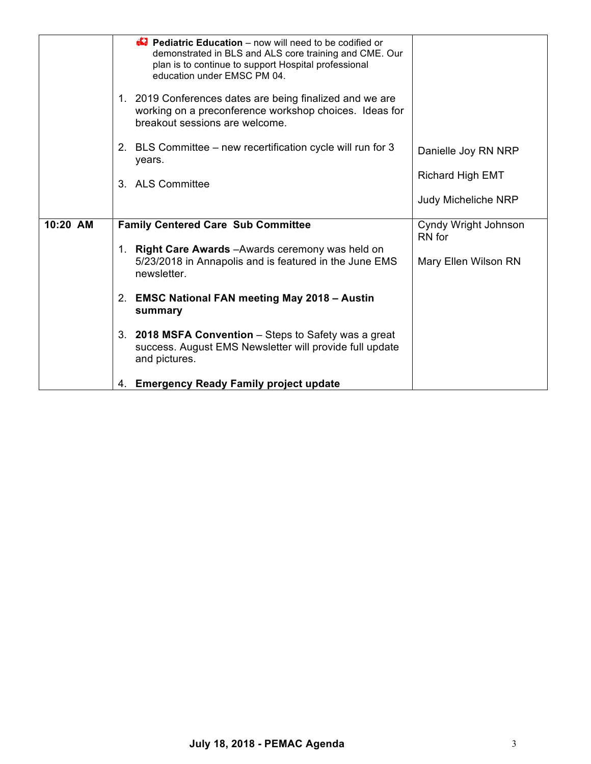|          | <b>E</b> Pediatric Education – now will need to be codified or<br>demonstrated in BLS and ALS core training and CME. Our<br>plan is to continue to support Hospital professional<br>education under EMSC PM 04.<br>1. 2019 Conferences dates are being finalized and we are<br>working on a preconference workshop choices. Ideas for<br>breakout sessions are welcome. |                                |
|----------|-------------------------------------------------------------------------------------------------------------------------------------------------------------------------------------------------------------------------------------------------------------------------------------------------------------------------------------------------------------------------|--------------------------------|
|          | 2. BLS Committee – new recertification cycle will run for 3<br>years.                                                                                                                                                                                                                                                                                                   | Danielle Joy RN NRP            |
|          | 3. ALS Committee                                                                                                                                                                                                                                                                                                                                                        | <b>Richard High EMT</b>        |
|          |                                                                                                                                                                                                                                                                                                                                                                         | <b>Judy Micheliche NRP</b>     |
| 10:20 AM | <b>Family Centered Care Sub Committee</b>                                                                                                                                                                                                                                                                                                                               | Cyndy Wright Johnson<br>RN for |
|          | <b>Right Care Awards</b> - Awards ceremony was held on<br>1.<br>5/23/2018 in Annapolis and is featured in the June EMS<br>newsletter.                                                                                                                                                                                                                                   | Mary Ellen Wilson RN           |
|          | 2. EMSC National FAN meeting May 2018 - Austin<br>summary                                                                                                                                                                                                                                                                                                               |                                |
|          | 3. 2018 MSFA Convention – Steps to Safety was a great<br>success. August EMS Newsletter will provide full update<br>and pictures.                                                                                                                                                                                                                                       |                                |
|          | 4. Emergency Ready Family project update                                                                                                                                                                                                                                                                                                                                |                                |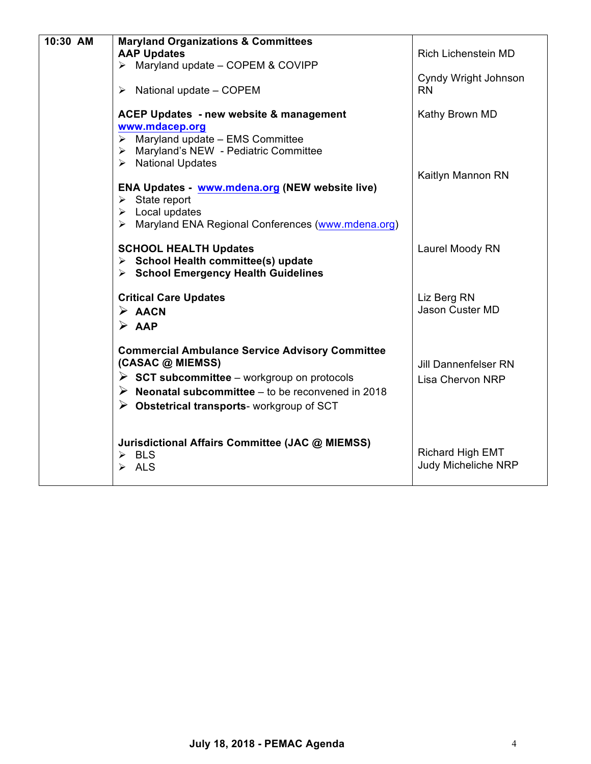| 10:30 AM | <b>Maryland Organizations &amp; Committees</b><br><b>AAP Updates</b><br>$\triangleright$ Maryland update - COPEM & COVIPP                                                                                                                                                 | <b>Rich Lichenstein MD</b>                             |
|----------|---------------------------------------------------------------------------------------------------------------------------------------------------------------------------------------------------------------------------------------------------------------------------|--------------------------------------------------------|
|          | $\triangleright$ National update – COPEM                                                                                                                                                                                                                                  | Cyndy Wright Johnson<br><b>RN</b>                      |
|          | ACEP Updates - new website & management<br>www.mdacep.org                                                                                                                                                                                                                 | Kathy Brown MD                                         |
|          | $\triangleright$ Maryland update - EMS Committee<br>> Maryland's NEW - Pediatric Committee<br>> National Updates                                                                                                                                                          |                                                        |
|          | <b>ENA Updates - www.mdena.org (NEW website live)</b><br>$\triangleright$ State report<br>$\triangleright$ Local updates<br>> Maryland ENA Regional Conferences (www.mdena.org)                                                                                           | Kaitlyn Mannon RN                                      |
|          | <b>SCHOOL HEALTH Updates</b><br>$\triangleright$ School Health committee(s) update<br>> School Emergency Health Guidelines                                                                                                                                                | Laurel Moody RN                                        |
|          | <b>Critical Care Updates</b><br>$\triangleright$ AACN<br>$\triangleright$ AAP                                                                                                                                                                                             | Liz Berg RN<br><b>Jason Custer MD</b>                  |
|          | <b>Commercial Ambulance Service Advisory Committee</b><br>(CASAC @ MIEMSS)<br>$\triangleright$ SCT subcommittee – workgroup on protocols<br>$\triangleright$ Neonatal subcommittee – to be reconvened in 2018<br>$\triangleright$ Obstetrical transports-workgroup of SCT | <b>Jill Dannenfelser RN</b><br><b>Lisa Chervon NRP</b> |
|          | Jurisdictional Affairs Committee (JAC @ MIEMSS)<br>$\triangleright$ BLS<br>$\triangleright$ ALS                                                                                                                                                                           | <b>Richard High EMT</b><br><b>Judy Micheliche NRP</b>  |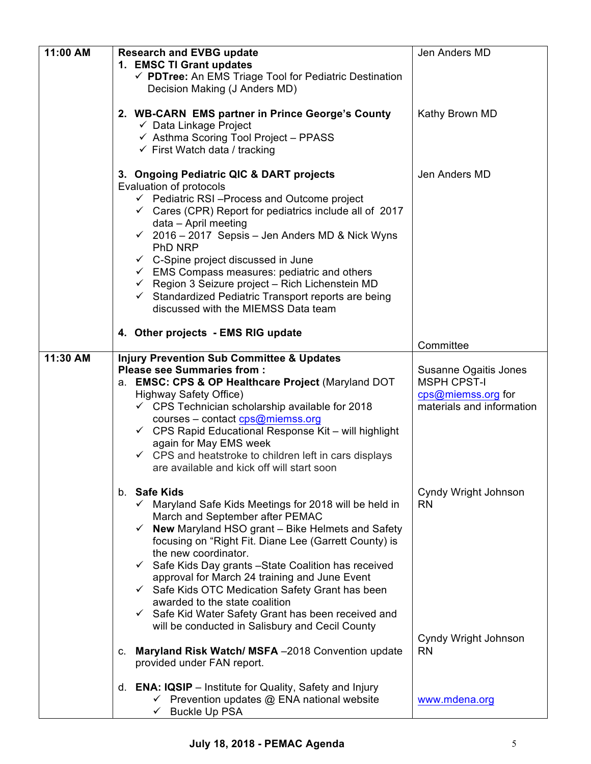| 11:00 AM | <b>Research and EVBG update</b>                                                                                                                                                                                                                                                                                                                                                                                                                                                                                                                                                                                                                                              | Jen Anders MD                                                                                  |
|----------|------------------------------------------------------------------------------------------------------------------------------------------------------------------------------------------------------------------------------------------------------------------------------------------------------------------------------------------------------------------------------------------------------------------------------------------------------------------------------------------------------------------------------------------------------------------------------------------------------------------------------------------------------------------------------|------------------------------------------------------------------------------------------------|
|          | 1. EMSC TI Grant updates<br>← PDTree: An EMS Triage Tool for Pediatric Destination<br>Decision Making (J Anders MD)                                                                                                                                                                                                                                                                                                                                                                                                                                                                                                                                                          |                                                                                                |
|          | 2. WB-CARN EMS partner in Prince George's County<br>$\checkmark$ Data Linkage Project<br>← Asthma Scoring Tool Project - PPASS<br>$\checkmark$ First Watch data / tracking                                                                                                                                                                                                                                                                                                                                                                                                                                                                                                   | Kathy Brown MD                                                                                 |
|          | 3. Ongoing Pediatric QIC & DART projects<br>Evaluation of protocols<br>$\checkmark$ Pediatric RSI-Process and Outcome project<br>$\checkmark$ Cares (CPR) Report for pediatrics include all of 2017<br>data - April meeting<br>$\checkmark$ 2016 – 2017 Sepsis – Jen Anders MD & Nick Wyns<br>PhD NRP<br>$\checkmark$ C-Spine project discussed in June<br>$\checkmark$ EMS Compass measures: pediatric and others<br>$\checkmark$ Region 3 Seizure project - Rich Lichenstein MD<br>$\checkmark$ Standardized Pediatric Transport reports are being<br>discussed with the MIEMSS Data team                                                                                  | Jen Anders MD                                                                                  |
|          | 4. Other projects - EMS RIG update                                                                                                                                                                                                                                                                                                                                                                                                                                                                                                                                                                                                                                           | Committee                                                                                      |
| 11:30 AM | <b>Injury Prevention Sub Committee &amp; Updates</b><br><b>Please see Summaries from:</b><br>a. EMSC: CPS & OP Healthcare Project (Maryland DOT<br><b>Highway Safety Office)</b><br>$\checkmark$ CPS Technician scholarship available for 2018<br>courses - contact cps@miemss.org<br>$\checkmark$ CPS Rapid Educational Response Kit – will highlight<br>again for May EMS week<br>$\checkmark$ CPS and heatstroke to children left in cars displays<br>are available and kick off will start soon                                                                                                                                                                          | Susanne Ogaitis Jones<br><b>MSPH CPST-I</b><br>cps@miemss.org for<br>materials and information |
|          | b. Safe Kids<br>$\checkmark$ Maryland Safe Kids Meetings for 2018 will be held in<br>March and September after PEMAC<br>$\checkmark$ New Maryland HSO grant – Bike Helmets and Safety<br>focusing on "Right Fit. Diane Lee (Garrett County) is<br>the new coordinator.<br>$\checkmark$ Safe Kids Day grants - State Coalition has received<br>approval for March 24 training and June Event<br>$\checkmark$ Safe Kids OTC Medication Safety Grant has been<br>awarded to the state coalition<br>$\checkmark$ Safe Kid Water Safety Grant has been received and<br>will be conducted in Salisbury and Cecil County<br>Maryland Risk Watch/ MSFA -2018 Convention update<br>C. | Cyndy Wright Johnson<br><b>RN</b><br>Cyndy Wright Johnson<br><b>RN</b>                         |
|          | provided under FAN report.                                                                                                                                                                                                                                                                                                                                                                                                                                                                                                                                                                                                                                                   |                                                                                                |
|          | d. <b>ENA: IQSIP</b> – Institute for Quality, Safety and Injury<br>$\checkmark$ Prevention updates $\mathcal Q$ ENA national website<br>← Buckle Up PSA                                                                                                                                                                                                                                                                                                                                                                                                                                                                                                                      | www.mdena.org                                                                                  |